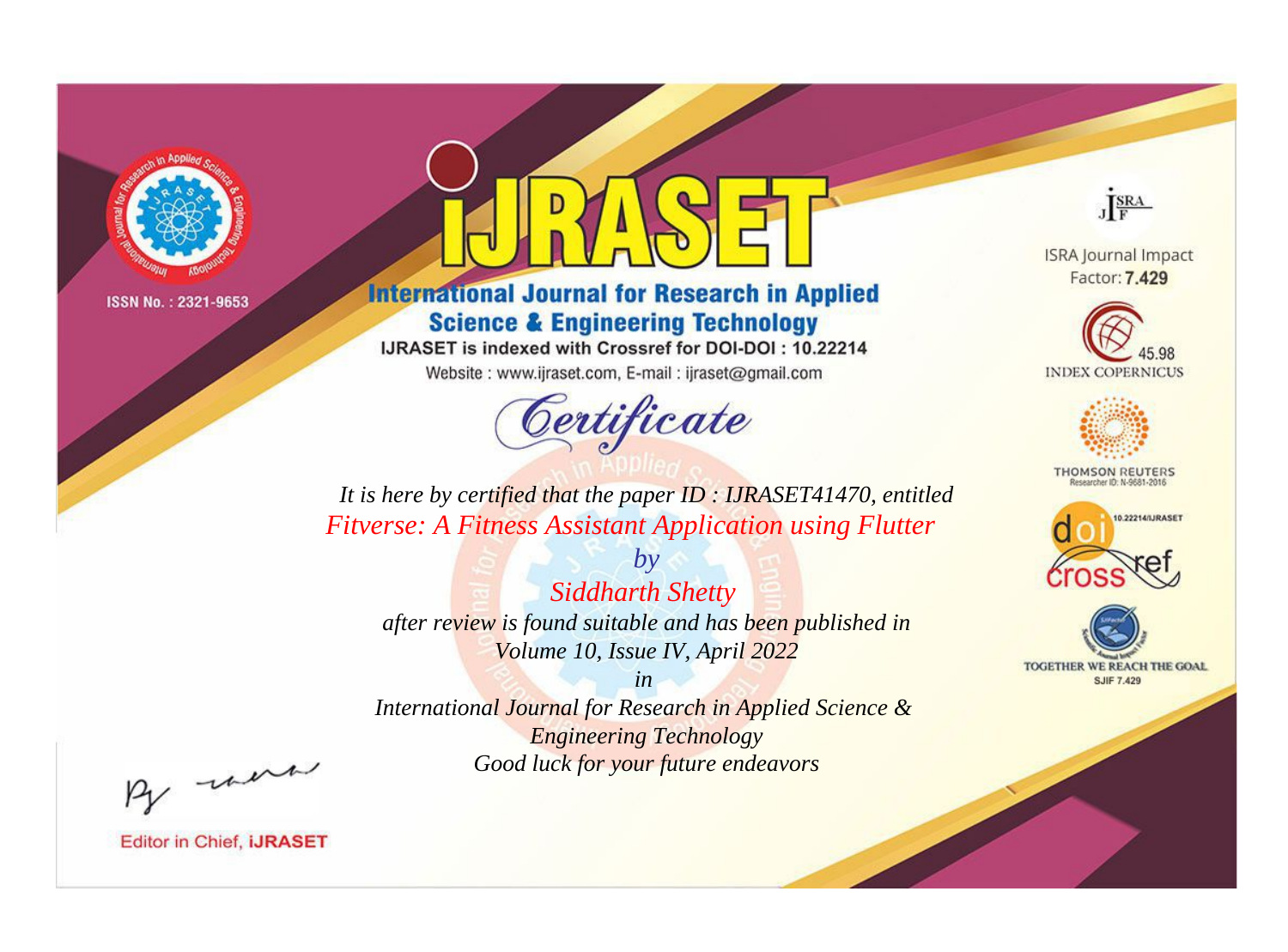

# **International Journal for Research in Applied Science & Engineering Technology**

IJRASET is indexed with Crossref for DOI-DOI: 10.22214

Website: www.ijraset.com, E-mail: ijraset@gmail.com



JERA

**ISRA Journal Impact** Factor: 7.429





**THOMSON REUTERS** 



TOGETHER WE REACH THE GOAL **SJIF 7.429** 

*It is here by certified that the paper ID : IJRASET41470, entitled Fitverse: A Fitness Assistant Application using Flutter*

*Siddharth Shetty after review is found suitable and has been published in Volume 10, Issue IV, April 2022*

*by*

*in* 

*International Journal for Research in Applied Science & Engineering Technology Good luck for your future endeavors*

By morn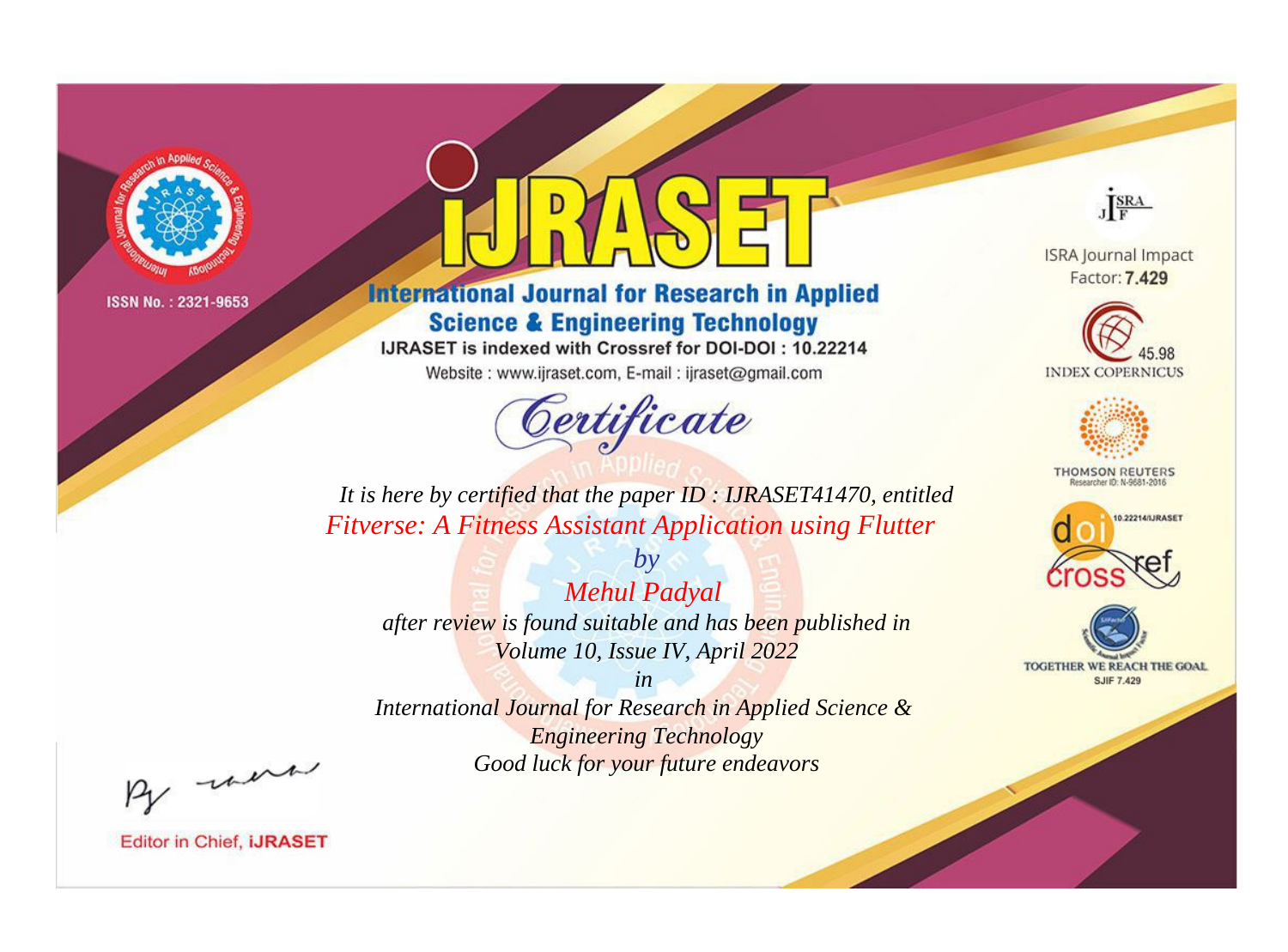

# **International Journal for Research in Applied Science & Engineering Technology**

IJRASET is indexed with Crossref for DOI-DOI: 10.22214

Website: www.ijraset.com, E-mail: ijraset@gmail.com



JERA

**ISRA Journal Impact** Factor: 7.429





**THOMSON REUTERS** 



TOGETHER WE REACH THE GOAL **SJIF 7.429** 

*It is here by certified that the paper ID : IJRASET41470, entitled Fitverse: A Fitness Assistant Application using Flutter*

*Mehul Padyal after review is found suitable and has been published in Volume 10, Issue IV, April 2022*

*by*

*in* 

*International Journal for Research in Applied Science & Engineering Technology Good luck for your future endeavors*

By morn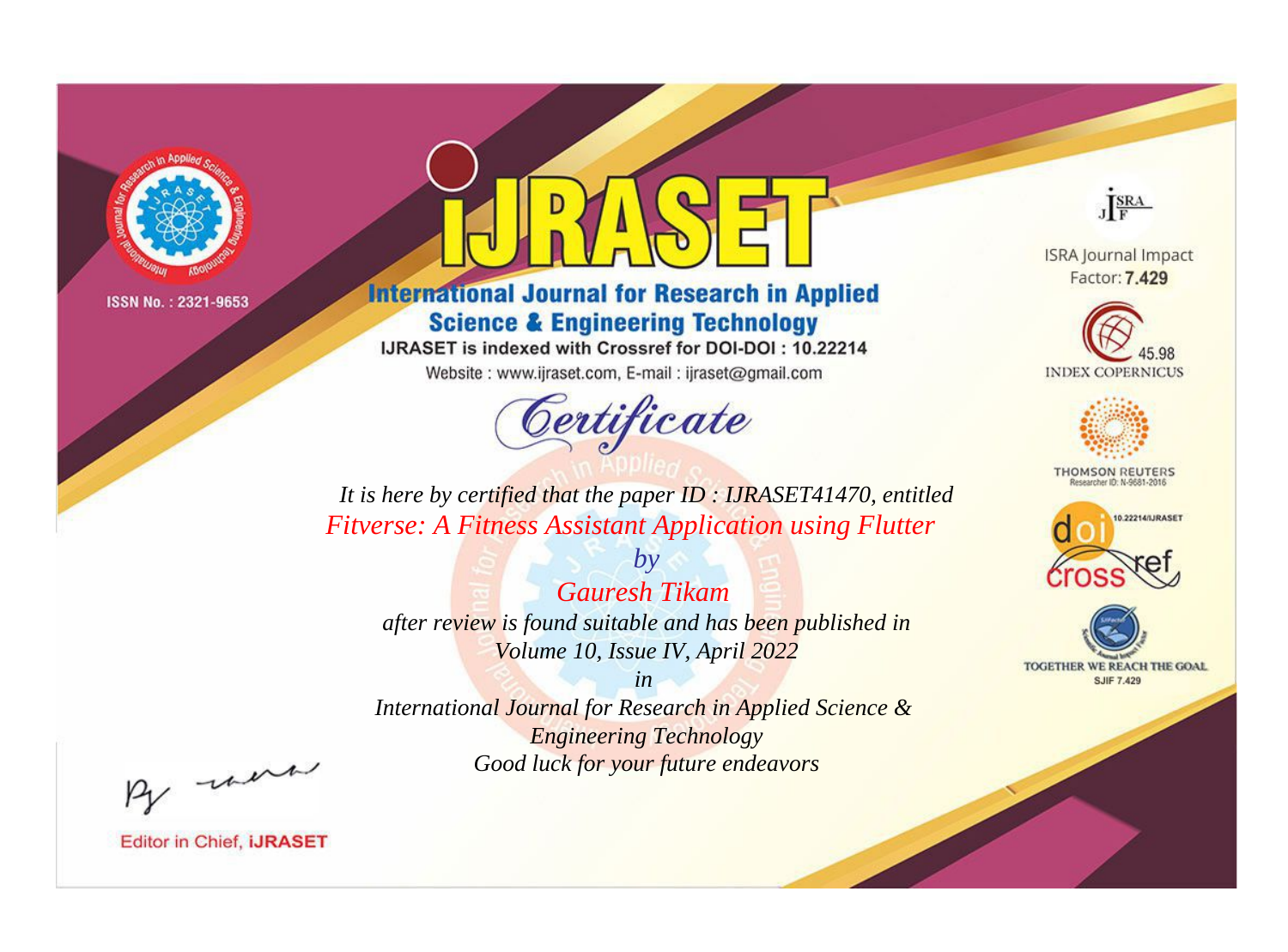

# **International Journal for Research in Applied Science & Engineering Technology**

IJRASET is indexed with Crossref for DOI-DOI: 10.22214

Website: www.ijraset.com, E-mail: ijraset@gmail.com



JERA

**ISRA Journal Impact** Factor: 7.429





**THOMSON REUTERS** 



TOGETHER WE REACH THE GOAL **SJIF 7.429** 

It is here by certified that the paper ID: IJRASET41470, entitled **Fitverse: A Fitness Assistant Application using Flutter** 

**Gauresh Tikam** after review is found suitable and has been published in Volume 10, Issue IV, April 2022

 $b\nu$ 

 $in$ International Journal for Research in Applied Science & **Engineering Technology** Good luck for your future endeavors

By morn